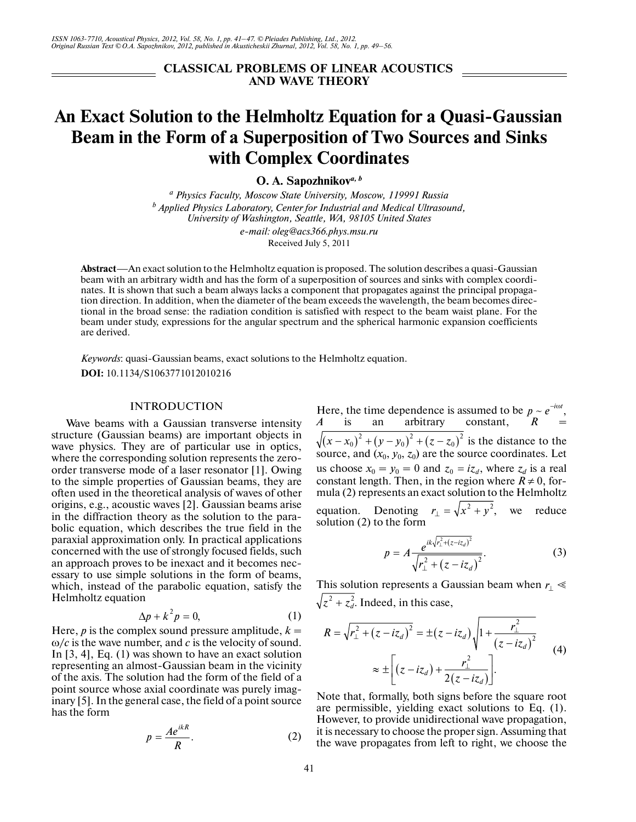**CLASSICAL PROBLEMS OF LINEAR ACOUSTICS AND WAVE THEORY**

# **An Exact Solution to the Helmholtz Equation for a Quasi-Gaussian Beam in the Form of a Superposition of Two Sources and Sinks with Complex Coordinates**

**O. A. Sapozhnikov***a, b*

*a Physics Faculty, Moscow State University, Moscow, 119991 Russia b Applied Physics Laboratory, Center for Industrial and Medical Ultrasound, University of Washington, Seattle, WA, 98105 United States e-mail: oleg@acs366.phys.msu.ru*

Received July 5, 2011

**Abstract**—An exact solution to the Helmholtz equation is proposed. The solution describes a quasi-Gaussian beam with an arbitrary width and has the form of a superposition of sources and sinks with complex coordi nates. It is shown that such a beam always lacks a component that propagates against the principal propaga tion direction. In addition, when the diameter of the beam exceeds the wavelength, the beam becomes direc tional in the broad sense: the radiation condition is satisfied with respect to the beam waist plane. For the beam under study, expressions for the angular spectrum and the spherical harmonic expansion coefficients are derived.

*Keywords*: quasi-Gaussian beams, exact solutions to the Helmholtz equation. **DOI:** 10.1134/S1063771012010216

## INTRODUCTION

Wave beams with a Gaussian transverse intensity structure (Gaussian beams) are important objects in wave physics. They are of particular use in optics, where the corresponding solution represents the zero order transverse mode of a laser resonator [1]. Owing to the simple properties of Gaussian beams, they are often used in the theoretical analysis of waves of other origins, e.g., acoustic waves [2]. Gaussian beams arise in the diffraction theory as the solution to the para bolic equation, which describes the true field in the paraxial approximation only. In practical applications concerned with the use of strongly focused fields, such an approach proves to be inexact and it becomes nec essary to use simple solutions in the form of beams, which, instead of the parabolic equation, satisfy the Helmholtz equation

$$
\Delta p + k^2 p = 0,\t\t(1)
$$

Here,  $p$  is the complex sound pressure amplitude,  $k =$ ω/*c* is the wave number, and *c* is the velocity of sound. In [3, 4], Eq. (1) was shown to have an exact solution representing an almost-Gaussian beam in the vicinity of the axis. The solution had the form of the field of a point source whose axial coordinate was purely imag inary [5]. In the general case, the field of a point source has the form

$$
p = \frac{Ae^{ikR}}{R}.\tag{2}
$$

Here, the time dependence is assumed to be  $p \sim e^{-i\omega t}$ , *A* is an arbitrary constant, *R*  is the distance to the source, and  $(x_0, y_0, z_0)$  are the source coordinates. Let source, and  $(x_0, y_0, z_0)$  are the source coordinates. Let<br>us choose  $x_0 = y_0 = 0$  and  $z_0 = iz_d$ , where  $z_d$  is a real constant length. Then, in the region where  $R \neq 0$ , formula (2) represents an exact solution to the Helmholtz equation. Denoting  $r_{\perp} = \sqrt{x^2 + y^2}$ , we reduce solution (2) to the form  $\sqrt{(x-x_0)^2 + (y-y_0)^2 + (z-z_0)^2}$  $r_{\perp} = \sqrt{x^2 + y^2}$ 

$$
p = A \frac{e^{ik\sqrt{r_{\perp}^2 + (z - iz_d)^2}}}{\sqrt{r_{\perp}^2 + (z - iz_d)^2}}.
$$
 (3)

This solution represents a Gaussian beam when  $r_$ <sup> $\leq$ </sup>  $z^2 + z_d^2$ . Indeed, in this case,

$$
R = \sqrt{r_{\perp}^2 + (z - iz_d)^2} = \pm (z - iz_d) \sqrt{1 + \frac{r_{\perp}^2}{(z - iz_d)^2}}
$$
  

$$
\approx \pm \left[ (z - iz_d) + \frac{r_{\perp}^2}{2(z - iz_d)} \right].
$$
 (4)

Note that, formally, both signs before the square root are permissible, yielding exact solutions to Eq. (1). However, to provide unidirectional wave propagation, it is necessary to choose the proper sign. Assuming that the wave propagates from left to right, we choose the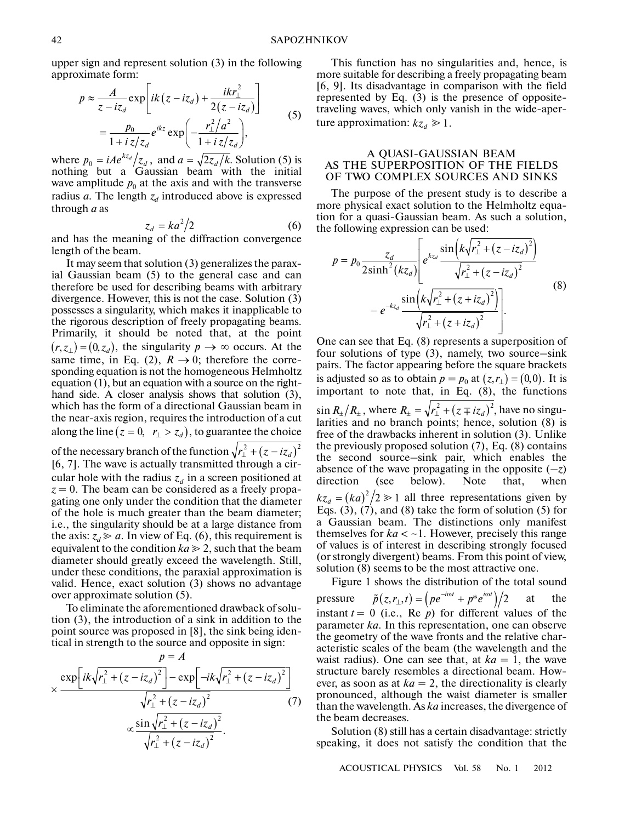upper sign and represent solution (3) in the following approximate form:

$$
p \approx \frac{A}{z - iz_d} \exp\left[ik(z - iz_d) + \frac{ikr_{\perp}^2}{2(z - iz_d)}\right]
$$
  
= 
$$
\frac{p_0}{1 + iz/z_d} e^{ikz} \exp\left(-\frac{r_{\perp}^2/a^2}{1 + iz/z_d}\right),
$$
 (5)

where  $p_0 = iAe^{kz_d}/z_d$ , and  $a = \sqrt{2z_d/k}$ . Solution (5) is nothing but a Gaussian beam with the initial wave amplitude  $p_0$  at the axis and with the transverse radius *a*. The length  $z_d$  introduced above is expressed through *a* as  $p_0 = iAe^{kz_d}/z_d$ , and  $a = \sqrt{2z_d/k}$ .

$$
z_d = ka^2/2 \tag{6}
$$

and has the meaning of the diffraction convergence length of the beam.

It may seem that solution (3) generalizes the parax ial Gaussian beam (5) to the general case and can therefore be used for describing beams with arbitrary divergence. However, this is not the case. Solution (3) possesses a singularity, which makes it inapplicable to the rigorous description of freely propagating beams. Primarily, it should be noted that, at the point Frimarity, it should be noted that, at the point  $(r, z_{\perp}) = (0, z_d)$ , the singularity  $p \to \infty$  occurs. At the same time, in Eq. (2),  $R \rightarrow 0$ ; therefore the corresponding equation is not the homogeneous Helmholtz equation (1), but an equation with a source on the right hand side. A closer analysis shows that solution (3), which has the form of a directional Gaussian beam in the near-axis region, requires the introduction of a cut along the line  $(z = 0, r_{\perp} > z_d)$ , to guarantee the choice

of the necessary branch of the function  $\sqrt{r_\perp^2+\left(z-i z_d\right)^2}$ [6, 7]. The wave is actually transmitted through a cir cular hole with the radius  $z_d$  in a screen positioned at  $z = 0$ . The beam can be considered as a freely propagating one only under the condition that the diameter of the hole is much greater than the beam diameter; i.e., the singularity should be at a large distance from the axis:  $z_d \ge a$ . In view of Eq. (6), this requirement is equivalent to the condition  $ka \geq 2$ , such that the beam diameter should greatly exceed the wavelength. Still, under these conditions, the paraxial approximation is valid. Hence, exact solution (3) shows no advantage over approximate solution (5).

To eliminate the aforementioned drawback of solu tion (3), the introduction of a sink in addition to the point source was proposed in [8], the sink being iden tical in strength to the source and opposite in sign:

$$
p = A
$$
  
\n
$$
\times \frac{\exp\left[ik\sqrt{r_{\perp}^{2} + (z - iz_{d})^{2}}\right] - \exp\left[-ik\sqrt{r_{\perp}^{2} + (z - iz_{d})^{2}}\right]}{\sqrt{r_{\perp}^{2} + (z - iz_{d})^{2}}}
$$
\n
$$
\times \frac{\sin\sqrt{r_{\perp}^{2} + (z - iz_{d})^{2}}}{\sqrt{r_{\perp}^{2} + (z - iz_{d})^{2}}}.
$$
\n(7)

This function has no singularities and, hence, is more suitable for describing a freely propagating beam [6, 9]. Its disadvantage in comparison with the field represented by Eq. (3) is the presence of opposite traveling waves, which only vanish in the wide-aper ture approximation:  $kz_d \geq 1$ .

# A QUASI-GAUSSIAN BEAM AS THE SUPERPOSITION OF THE FIELDS OF TWO COMPLEX SOURCES AND SINKS

The purpose of the present study is to describe a more physical exact solution to the Helmholtz equa tion for a quasi-Gaussian beam. As such a solution, the following expression can be used:

$$
p = p_0 \frac{z_d}{2 \sinh^2(kz_d)} \left[ e^{kz_d} \frac{\sin\left(k\sqrt{r_{\perp}^2 + (z - iz_d)^2}\right)}{\sqrt{r_{\perp}^2 + (z - iz_d)^2}} - e^{-kz_d} \frac{\sin\left(k\sqrt{r_{\perp}^2 + (z + iz_d)^2}\right)}{\sqrt{r_{\perp}^2 + (z + iz_d)^2}} \right].
$$
\n(8)

One can see that Eq. (8) represents a superposition of four solutions of type (3), namely, two source–sink pairs. The factor appearing before the square brackets pairs. The factor appearing before the square brackets<br>is adjusted so as to obtain  $p = p_0$  at  $(z, r_1) = (0, 0)$ . It is important to note that, in Eq. (8), the functions  $\sin R_{\pm}/R_{\pm}$ , where  $R_{\pm} = \sqrt{r_{\perp}^2 + (z \mp iz_d)^2}$ , have no singularities and no branch points; hence, solution (8) is free of the drawbacks inherent in solution (3). Unlike the previously proposed solution (7), Eq. (8) contains the second source–sink pair, which enables the absence of the wave propagating in the opposite  $(-z)$ direction (see below). Note that, when  $kz_d = (ka)^2/2 \ge 1$  all three representations given by Eqs.  $(3)$ ,  $(7)$ , and  $(8)$  take the form of solution  $(5)$  for a Gaussian beam. The distinctions only manifest themselves for  $ka < -1$ . However, precisely this range of values is of interest in describing strongly focused (or strongly divergent) beams. From this point of view, solution (8) seems to be the most attractive one. pressure at the most in describing strongly focused<br>(or strongly divergent) beams. From this point of view,<br>solution (8) seems to be the most attractive one.<br>Figure 1 shows the distribution of the total sound<br>pressure  $\til$ 

Figure 1 shows the distribution of the total sound instant  $t = 0$  (i.e., Re  $p$ ) for different values of the parameter *ka*. In this representation, one can observe the geometry of the wave fronts and the relative char acteristic scales of the beam (the wavelength and the waist radius). One can see that, at  $ka = 1$ , the wave structure barely resembles a directional beam. How ever, as soon as at  $ka = 2$ , the directionality is clearly pronounced, although the waist diameter is smaller than the wavelength. As *ka* increases, the divergence of the beam decreases.

Solution (8) still has a certain disadvantage: strictly speaking, it does not satisfy the condition that the

ACOUSTICAL PHYSICS Vol. 58 No. 1 2012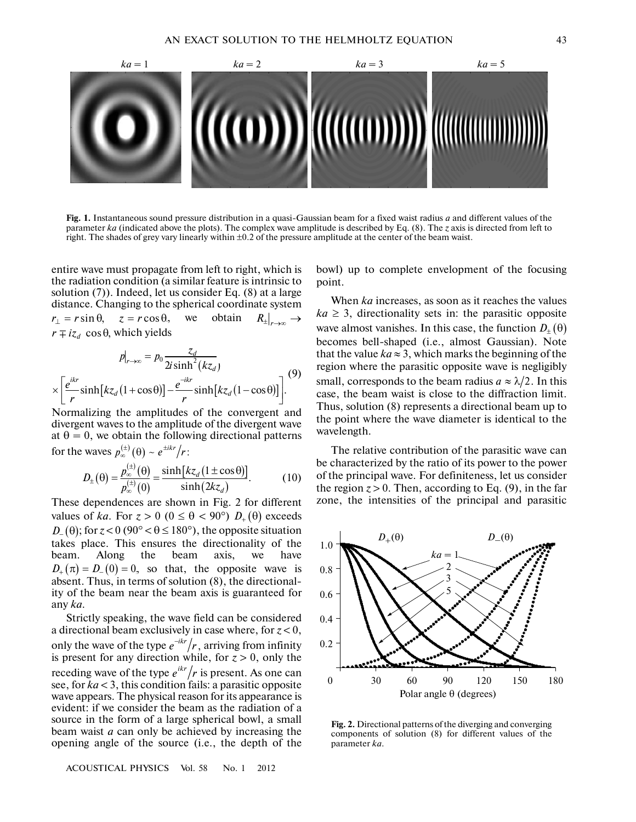

Fig. 1. Instantaneous sound pressure distribution in a quasi-Gaussian beam for a fixed waist radius *a* and different values of the parameter *ka* (indicated above the plots). The complex wave amplitude is described by Eq. (8). The *z* axis is directed from left to right. The shades of grey vary linearly within ±0.2 of the pressure amplitude at the center of the beam waist.

entire wave must propagate from left to right, which is the radiation condition (a similar feature is intrinsic to solution (7)). Indeed, let us consider Eq. (8) at a large distance. Changing to the spherical coordinate system distance. Changing to the spherical coordinate system<br> $r_{\perp} = r \sin \theta$ ,  $z = r \cos \theta$ , we obtain  $R_{\pm}|_{r \to \infty} \to$  $r \mp iz_d \cos \theta$ , which yields

$$
p|_{r\to\infty} = p_0 \frac{z_d}{2i \sinh^2(kz_d)}
$$
  
 
$$
\times \left[ \frac{e^{ikr}}{r} \sinh[kz_d(1+\cos\theta)] - \frac{e^{-ikr}}{r} \sinh[kz_d(1-\cos\theta)] \right].
$$
 (9)

Normalizing the amplitudes of the convergent and divergent waves to the amplitude of the divergent wave at  $\theta = 0$ , we obtain the following directional patterns for the waves  $p_{\infty}^{(\pm)}(\theta) \sim e^{\pm ikr}/r$ :

$$
D_{\pm}(\theta) = \frac{p_{\infty}^{(\pm)}(\theta)}{p_{\infty}^{(\pm)}(0)} = \frac{\sinh[kz_{d}(1 \pm \cos \theta)]}{\sinh(2kz_{d})}.
$$
 (10)

These dependences are shown in Fig. 2 for different values of *ka*. For  $z > 0$  ( $0 \le \theta < 90^{\circ}$ )  $D_{+}(\theta)$  exceeds  $D_{-}(\theta)$ ; for  $z < 0$  (90°  $< \theta \le 180$ °), the opposite situation takes place. This ensures the directionality of the beam. Along the beam axis, we have  $D_+(\pi) = D_-(0) = 0$ , so that, the opposite wave is absent. Thus, in terms of solution (8), the directional ity of the beam near the beam axis is guaranteed for any *ka*. *These*<br>*values*<br>*D*− (θ)

Strictly speaking, the wave field can be considered a directional beam exclusively in case where, for *z* < 0, only the wave of the type  $e^{-ikr}/r$ , arriving from infinity is present for any direction while, for  $z > 0$ , only the receding wave of the type  $e^{ikr}/r$  is present. As one can see, for *ka* < 3, this condition fails: a parasitic opposite wave appears. The physical reason for its appearance is evident: if we consider the beam as the radiation of a source in the form of a large spherical bowl, a small beam waist *a* can only be achieved by increasing the opening angle of the source (i.e., the depth of the  $e^{-ikr}/r$  ,

ACOUSTICAL PHYSICS Vol. 58 No. 1 2012

bowl) up to complete envelopment of the focusing point.

When *ka* increases, as soon as it reaches the values  $ka \geq 3$ , directionality sets in: the parasitic opposite wave almost vanishes. In this case, the function  $D_{\pm}(\theta)$ becomes bell-shaped (i.e., almost Gaussian). Note that the value  $ka \approx 3$ , which marks the beginning of the region where the parasitic opposite wave is negligibly small, corresponds to the beam radius  $a \approx \lambda/2$ . In this case, the beam waist is close to the diffraction limit. Thus, solution (8) represents a directional beam up to the point where the wave diameter is identical to the wavelength.

The relative contribution of the parasitic wave can be characterized by the ratio of its power to the power of the principal wave. For definiteness, let us consider the region  $z > 0$ . Then, according to Eq. (9), in the far zone, the intensities of the principal and parasitic



**Fig. 2.** Directional patterns of the diverging and converging components of solution (8) for different values of the parameter *ka*.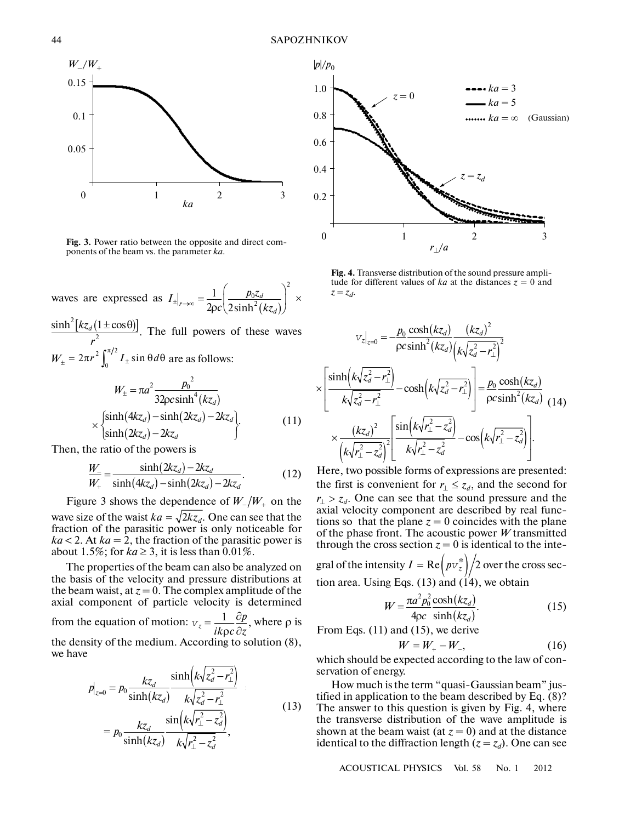

**Fig. 3.** Power ratio between the opposite and direct com ponents of the beam vs. the parameter *ka*.

waves are expressed as  $I_{+|_{r}} = \frac{1}{r} \left| \frac{p_0 z_d}{(z - z_0)^2} \right| \times$  $(kz_d)$ 2  $\frac{1}{2\pi}\left(\frac{p_0z}{2\sinh^2}\right)$  $2\rho c\langle 2\sinh$  $f \rightarrow \infty$  =  $\frac{1}{2\rho c} \left( \frac{p_0 z_d}{2 \sinh^2(kz_d)} \right)$  $I_{\pm}|_{r \to \infty} = \frac{1}{2} \left( \frac{p_0 z}{2} \right)^2$  $\epsilon_{\pm}$ <sub>r→∞</sub> =  $\frac{1}{2\rho c} \left( \frac{p_0 z_d}{2\sinh^2(kz_d)} \right)$  $\mathsf{pc}(\mathsf{2sinh}^2(kz_d))$ 

 $\frac{2[kz_d(1\pm\cos\theta)]}{2}$ . The full powers of these waves  $W_{\pm} = 2\pi r^2 \int_0^{\pi/2} I_{\pm} \sin \theta d\theta$  are as follows:  $\frac{\sinh^2[kz_d(1\pm\cos\theta)]}{r^2}.$ *r*  $\pm \cos \theta$ 

$$
W_{\pm} = \pi a^2 \frac{p_0^2}{32\rho c \sinh^4(kz_d)}
$$
  
\n
$$
\times \begin{cases} \sinh(4kz_d) - \sinh(2kz_d) - 2kz_d \\ \sinh(2kz_d) - 2kz_d \end{cases}
$$
 (11)

Then, the ratio of the powers is

$$
\frac{W_{-}}{W_{+}} = \frac{\sinh(2kz_{d}) - 2kz_{d}}{\sinh(4kz_{d}) - \sinh(2kz_{d}) - 2kz_{d}}.
$$
\n(12)  
\nFigure 3 shows the dependence of  $W_{-}/W_{+}$  on the

wave size of the waist  $ka = \sqrt{2kz_d}$ . One can see that the fraction of the parasitic power is only noticeable for  $ka < 2$ . At  $ka = 2$ , the fraction of the parasitic power is about 1.5%; for  $ka \geq 3$ , it is less than 0.01%.

The properties of the beam can also be analyzed on the basis of the velocity and pressure distributions at the beam waist, at  $z = 0$ . The complex amplitude of the axial component of particle velocity is determined from the equation of motion:  $v_z = \frac{1}{|I(z)|^2} \frac{\partial p}{\partial r}$ , where  $\rho$  is  $=\frac{1}{ik\varphi c}\frac{\partial p}{\partial z}$ 

the density of the medium. According to solution (8), we have

$$
p|_{z=0} = p_0 \frac{kz_d}{\sinh(kz_d)} \frac{\sinh(k\sqrt{z_d^2 - r_\perp^2})}{k\sqrt{z_d^2 - r_\perp^2}}
$$
  
= 
$$
p_0 \frac{kz_d}{\sinh(kz_d)} \frac{\sin(k\sqrt{r_\perp^2 - z_d^2})}{k\sqrt{r_\perp^2 - z_d^2}},
$$
 (13)



**Fig. 4.** Transverse distribution of the sound pressure ampli tude for different values of  $ka$  at the distances  $z = 0$  and  $z = z_d$ .

$$
v_{z|_{z=0}} = -\frac{p_0}{\rho c \sinh^2(kz_d)} \frac{(kz_d)^2}{(k\sqrt{z_d^2 - r_\perp^2})^2}
$$

$$
\times \left[ \frac{\sinh(k\sqrt{z_d^2 - r_\perp^2})}{k\sqrt{z_d^2 - r_\perp^2}} - \cosh(k\sqrt{z_d^2 - r_\perp^2}) \right] = \frac{p_0}{\rho c \sinh^2(kz_d)}
$$
(14)
$$
\times \frac{(kz_d)^2}{(k\sqrt{r_\perp^2 - z_d^2})^2} \left[ \frac{\sin(k\sqrt{r_\perp^2 - z_d^2})}{k\sqrt{r_\perp^2 - z_d^2}} - \cos(k\sqrt{r_\perp^2 - z_d^2}) \right].
$$

Here, two possible forms of expressions are presented: the first is convenient for  $r_{\perp} \leq z_d$ , and the second for One can see that the sound pressure and the axial velocity component are described by real func tions so that the plane  $z = 0$  coincides with the plane of the phase front. The acoustic power *W* transmitted through the cross section  $z = 0$  is identical to the integral of the intensity  $I = \text{Re} \left( p v_z^* \right) \middle/ 2$  over the cross sec $r_{\perp} > z_d$ .

tion area. Using Eqs.  $(13)$  and  $(14)$ , we obtain

$$
W = \frac{\pi a^2 p_0^2 \cosh(kz_d)}{4\rho c \sinh(kz_d)}.
$$
 (15)

From Eqs. (11) and (15), we derive

$$
W = W_+ - W_-, \tag{16}
$$

which should be expected according to the law of con servation of energy.

How much is the term "quasi-Gaussian beam" jus tified in application to the beam described by Eq. (8)? The answer to this question is given by Fig. 4, where the transverse distribution of the wave amplitude is shown at the beam waist (at  $z = 0$ ) and at the distance identical to the diffraction length  $(z = z_d)$ . One can see

ACOUSTICAL PHYSICS Vol. 58 No. 1 2012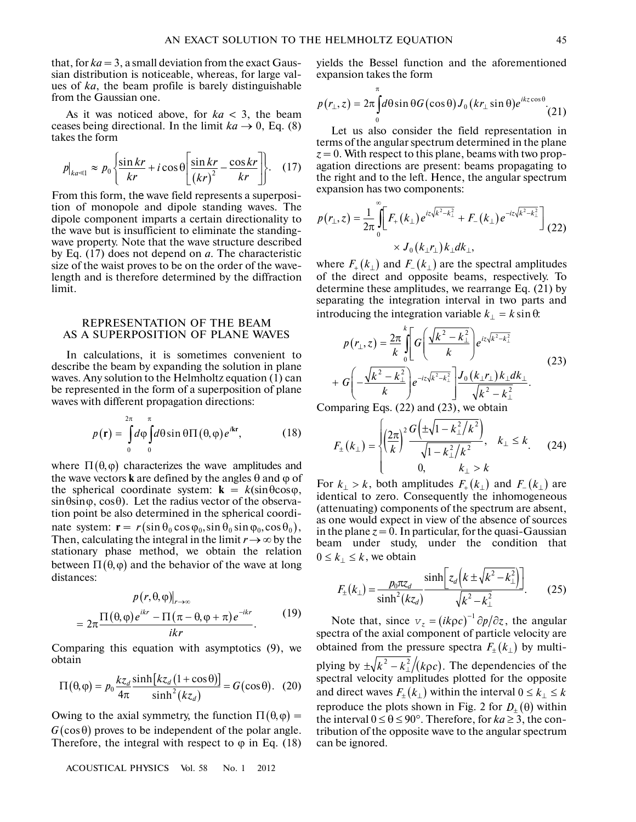that, for  $ka = 3$ , a small deviation from the exact Gaussian distribution is noticeable, whereas, for large val ues of *ka*, the beam profile is barely distinguishable from the Gaussian one.

As it was noticed above, for *ka* < 3, the beam ceases being directional. In the limit  $ka \rightarrow 0$ , Eq. (8) takes the form

$$
p|_{ka \leq 1} \approx p_0 \left\{ \frac{\sin kr}{kr} + i \cos \theta \left[ \frac{\sin kr}{(kr)^2} - \frac{\cos kr}{kr} \right] \right\}.
$$
 (17)

From this form, the wave field represents a superposi tion of monopole and dipole standing waves. The dipole component imparts a certain directionality to the wave but is insufficient to eliminate the standing wave property. Note that the wave structure described by Eq. (17) does not depend on *a*. The characteristic size of the waist proves to be on the order of the wave length and is therefore determined by the diffraction limit.

## REPRESENTATION OF THE BEAM AS A SUPERPOSITION OF PLANE WAVES

In calculations, it is sometimes convenient to describe the beam by expanding the solution in plane waves. Any solution to the Helmholtz equation (1) can be represented in the form of a superposition of plane waves with different propagation directions:

$$
p(\mathbf{r}) = \int_{0}^{2\pi} d\varphi \int_{0}^{\pi} d\theta \sin \theta \Pi(\theta, \varphi) e^{i\mathbf{k}\mathbf{r}},
$$
 (18)

where  $\Pi(\theta, \varphi)$  characterizes the wave amplitudes and the wave vectors **k** are defined by the angles  $\theta$  and  $\phi$  of the spherical coordinate system:  $\mathbf{k} = k(\sin\theta\cos\varphi,$  $\sin \theta \sin \varphi$ ,  $\cos \theta$ ). Let the radius vector of the observation point be also determined in the spherical coordi nate system:  $\mathbf{r} = r(\sin \theta_0 \cos \phi_0, \sin \theta_0 \sin \phi_0, \cos \theta_0),$ Then, calculating the integral in the limit  $r \rightarrow \infty$  by the stationary phase method, we obtain the relation between  $\Pi(\theta, \varphi)$  and the behavior of the wave at long distances:

$$
p(r, \theta, \varphi)|_{r \to \infty}
$$
  
=  $2\pi \frac{\Pi(\theta, \varphi)e^{ikr} - \Pi(\pi - \theta, \varphi + \pi)e^{-ikr}}{ikr}$ . (19)

Comparing this equation with asymptotics (9), we obtain

$$
\Pi(\theta,\varphi) = p_0 \frac{kz_d}{4\pi} \frac{\sinh[kz_d(1+\cos\theta)]}{\sinh^2(kz_d)} = G(\cos\theta). \tag{20}
$$

Owing to the axial symmetry, the function  $\Pi(\theta, \varphi) =$  $G(\cos\theta)$  proves to be independent of the polar angle. Therefore, the integral with respect to  $\varphi$  in Eq. (18)

ACOUSTICAL PHYSICS Vol. 58 No. 1 2012

yields the Bessel function and the aforementioned expansion takes the form

π

$$
p(r_{\perp},z) = 2\pi \int_{0}^{\pi} d\theta \sin \theta G(\cos \theta) J_{0}(kr_{\perp} \sin \theta) e^{ikz \cos \theta}
$$
 (21)

Let us also consider the field representation in terms of the angular spectrum determined in the plane  $z = 0$ . With respect to this plane, beams with two propagation directions are present: beams propagating to the right and to the left. Hence, the angular spectrum expansion has two components:

$$
p(r_{\perp}, z) = \frac{1}{2\pi} \int_{0}^{\infty} \left[ F_{+}(k_{\perp}) e^{iz\sqrt{k^{2} - k_{\perp}^{2}}} + F_{-}(k_{\perp}) e^{-iz\sqrt{k^{2} - k_{\perp}^{2}}} \right]_{(22)}
$$
  
 
$$
\times J_{0}(k_{\perp}r_{\perp}) k_{\perp} dk_{\perp},
$$
  
where  $F_{+}(k_{\perp})$  and  $F_{-}(k_{\perp})$  are the spectral amplitudes

of the direct and opposite beams, respectively. To determine these amplitudes, we rearrange Eq. (21) by separating the integration interval in two parts and separating the integration interval in two part<br>introducing the integration variable  $k_{\perp} = k \sin \theta$ .

$$
p(r_{\perp}, z) = \frac{2\pi}{k} \int_{0}^{k} \left[ G\left(\frac{\sqrt{k^2 - k_{\perp}^2}}{k}\right) e^{iz\sqrt{k^2 - k_{\perp}^2}} \right] e^{iz\sqrt{k^2 - k_{\perp}^2}} + G\left(-\frac{\sqrt{k^2 - k_{\perp}^2}}{k}\right) e^{-iz\sqrt{k^2 - k_{\perp}^2}} \left[\frac{J_0\left(k_{\perp}r_{\perp}\right)k_{\perp}dk_{\perp}}{\sqrt{k^2 - k_{\perp}^2}} \right].
$$
\n(23)

Comparing Eqs. (22) and (23), we obtain

$$
F_{\pm}(k_{\perp}) = \begin{cases} \left(\frac{2\pi}{k}\right)^{2} \frac{G\left(\pm\sqrt{1-k_{\perp}^{2}/k^{2}}\right)}{\sqrt{1-k_{\perp}^{2}/k^{2}}}, & k_{\perp} \leq k, \\ 0, & k_{\perp} > k \end{cases}
$$
 (24)  
For  $k_{\perp} > k$ , both amplitudes  $F_{+}(k_{\perp})$  and  $F_{-}(k_{\perp})$  are

identical to zero. Consequently the inhomogeneous (attenuating) components of the spectrum are absent, as one would expect in view of the absence of sources in the plane  $z = 0$ . In particular, for the quasi-Gaussian beam under study, under the condition that  $0 \leq k_{\perp} \leq k$ , we obtain

$$
F_{\pm}(k_{\perp}) = \frac{p_0 \pi z_d}{\sinh^2(kz_d)} \frac{\sinh\left[z_d\left(k \pm \sqrt{k^2 - k_{\perp}^2}\right)\right]}{\sqrt{k^2 - k_{\perp}^2}}.
$$
 (25)  
Note that, since  $v_z = (ik\rho c)^{-1} \partial p/\partial z$ , the angular

spectra of the axial component of particle velocity are obtained from the pressure spectra  $F_{\pm}(k_+)$  by multiplying by  $\pm \sqrt{k^2 - k_1^2/(k\rho c)}$ . The dependencies of the spectral velocity amplitudes plotted for the opposite and direct waves  $F_{\pm}(k_{\perp})$  within the interval  $0 \leq k_{\perp} \leq k$ reproduce the plots shown in Fig. 2 for  $D_{\pm}(\theta)$  within the interval  $0 \le \theta \le 90^\circ$ . Therefore, for  $ka \ge 3$ , the contribution of the opposite wave to the angular spectrum can be ignored.  $\pm \sqrt{k^2 - k_\perp^2/(k\rho c)}$ .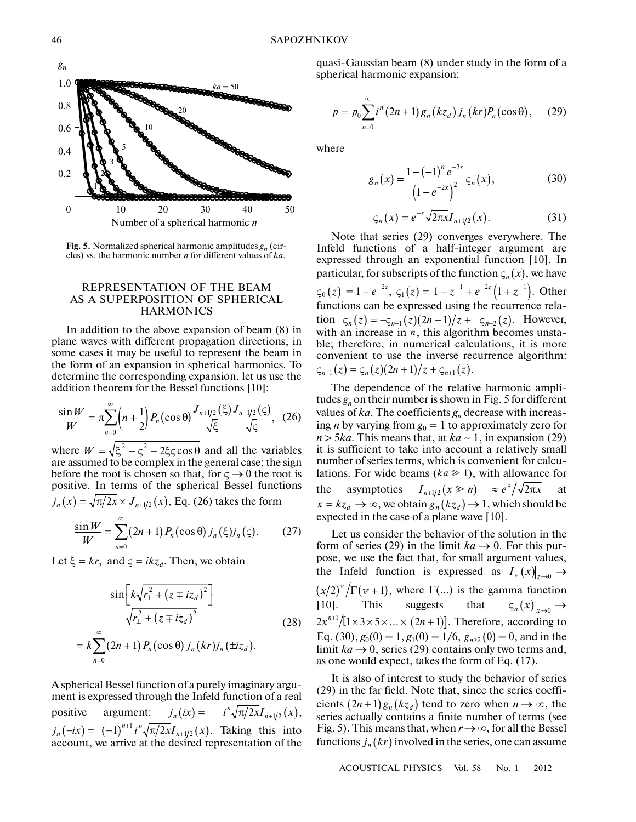

**Fig. 5.** Normalized spherical harmonic amplitudes *gn* (cir cles) vs. the harmonic number *n* for different values of *ka*.

## REPRESENTATION OF THE BEAM AS A SUPERPOSITION OF SPHERICAL **HARMONICS**

In addition to the above expansion of beam (8) in plane waves with different propagation directions, in some cases it may be useful to represent the beam in the form of an expansion in spherical harmonics. To determine the corresponding expansion, let us use the addition theorem for the Bessel functions [10]:

$$
\frac{\sin W}{W} = \pi \sum_{n=0}^{\infty} \left( n + \frac{1}{2} \right) P_n(\cos \theta) \frac{J_{n+1/2}(\xi)}{\sqrt{\xi}} \frac{J_{n+1/2}(\varsigma)}{\sqrt{\varsigma}}, \quad (26)
$$

where  $W = \sqrt{\xi^2 + \varsigma^2} - 2\xi\varsigma\cos\theta$  and all the variables are assumed to be complex in the general case; the sign before the root is chosen so that, for  $\zeta \to 0$  the root is positive. In terms of the spherical Bessel functions  $j_n(x) = \sqrt{\pi/2x} \times J_{n+1/2}(x)$ , Eq. (26) takes the form  $W = \sqrt{\xi^2 + \varsigma^2 - 2\xi\varsigma\cos\theta}$ 

$$
\frac{\sin W}{W} = \sum_{n=0}^{\infty} (2n+1) P_n(\cos \theta) j_n(\xi) j_n(\zeta). \tag{27}
$$

Let  $\xi = kr$ , and  $\zeta = ikz_d$ . Then, we obtain

$$
\frac{\sin\left[k\sqrt{r_{\perp}^{2} + (z \mp iz_{d})^{2}}\right]}{\sqrt{r_{\perp}^{2} + (z \mp iz_{d})^{2}}}
$$
\n
$$
= k \sum_{n=0}^{\infty} (2n+1) P_{n}(\cos\theta) j_{n}(kr) j_{n}(\pm iz_{d}).
$$
\n(28)

A spherical Bessel function of a purely imaginary argu ment is expressed through the Infeld function of a real positive argument: A spherical Bessel function of a purely imaginary argument is expressed through the Infeld function of a real positive argument:  $j_n(ix) = i^n \sqrt{\pi/2x} I_{n+1/2}(x)$ ,  $j_n(-ix) = (-1)^{n+1} i^n \sqrt{\pi/2x} I_{n+1/2}(x)$ . Taking this into account, we arrive at the desired representation of the  $j_n(ix) = i^n \sqrt{\pi/2x} I_{n+1/2}(x)$ ,

quasi-Gaussian beam (8) under study in the form of a spherical harmonic expansion:

$$
p = p_0 \sum_{n=0}^{\infty} i^n (2n+1) g_n(kz_d) j_n(kr) P_n(\cos \theta), \quad (29)
$$

where

$$
g_n(x) = \frac{1 - (-1)^n e^{-2x}}{\left(1 - e^{-2x}\right)^2} \varsigma_n(x),\tag{30}
$$

$$
\varsigma_n(x) = e^{-x} \sqrt{2\pi x} I_{n+1/2}(x).
$$
 (31)

Note that series (29) converges everywhere. The<br>eld functions of a half-integer argument are<br>ressed through an exponential function [10]. In<br>ticular, for subscripts of the function  $\zeta_n(x)$ , we have Infeld functions of a half-integer argument are expressed through an exponential function [10]. In particular, for subscripts of the function  $\zeta_n(x)$ , we have  $\zeta_0(z) = 1 - e^{-2z}, \ \zeta_1(z) = 1 - z^{-1} + e^{-2z} (1 + z^{-1}).$  Other functions can be expressed using the recurrence rela tion  $\varsigma_n(z) = -\varsigma_{n-1}(z)(2n-1)/z + \varsigma_{n-2}(z)$ . However, with an increase in  $n$ , this algorithm becomes unstable; therefore, in numerical calculations, it is more convenient to use the inverse recurrence algorithm: ssed through an exponential function  $\zeta_n$  (<br>  $= 1 - e^{-2z}$ ,  $\zeta_1(z) = 1 - z^{-1} + e^{-2z} (1 + z)$ <br>
ions can be expressed using the recur<br>  $\zeta_n(z) = -\zeta_{n-1}(z)(2n-1)/z + \zeta_{n-2}(z)$ .  $\varsigma_{n-1}(z) = \varsigma_n(z)(2n+1)/z + \varsigma_{n+1}(z).$ 

The dependence of the relative harmonic ampli tudes  $g_n$  on their number is shown in Fig. 5 for different values of *ka*. The coefficients *gn* decrease with increas ing *n* by varying from  $g_0 = 1$  to approximately zero for  $n > 5ka$ . This means that, at  $ka \sim 1$ , in expansion (29) it is sufficient to take into account a relatively small number of series terms, which is convenient for calcu lations. For wide beams  $(ka \ge 1)$ , with allowance for the asymptotics  $I_{n+1/2}(x \ge n) \approx e^x/\sqrt{2\pi x}$  at  $x = kz_d \rightarrow \infty$ , we obtain  $g_n(kz_d) \rightarrow 1$ , which should be expected in the case of a plane wave [10].

Let us consider the behavior of the solution in the form of series (29) in the limit  $ka \rightarrow 0$ . For this purpose, we use the fact that, for small argument values, the Infeld function is expressed as  $I_v(x)|_{z\to 0} \to$  $(x/2)^{v}/\Gamma(v+1)$ , where  $\Gamma(\ldots)$  is the gamma function [10]. This suggests that  $\varsigma_n(x)|_{x\to 0} \to$  $2x^{n+1}/[1 \times 3 \times 5 \times ... \times (2n+1)]$ . Therefore, according to Eq. (30),  $g_0(0) = 1$ ,  $g_1(0) = 1/6$ ,  $g_{n \ge 2}(0) = 0$ , and in the limit  $ka \rightarrow 0$ , series (29) contains only two terms and, as one would expect, takes the form of Eq. (17).

It is also of interest to study the behavior of series (29) in the far field. Note that, since the series coeffi cients  $(2n+1)g_n(kz_d)$  tend to zero when  $n \to \infty$ , the series actually contains a finite number of terms (see Fig. 5). This means that, when  $r \rightarrow \infty$ , for all the Bessel functions  $j_n(kr)$  involved in the series, one can assume